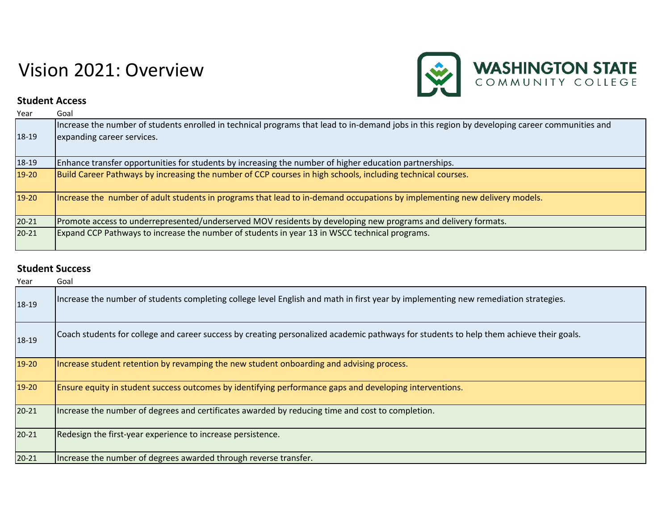## Vision 2021: Overview



## **Student Access**

| Year      | Goal                                                                                                                                                                         |
|-----------|------------------------------------------------------------------------------------------------------------------------------------------------------------------------------|
| 18-19     | Increase the number of students enrolled in technical programs that lead to in-demand jobs in this region by developing career communities and<br>expanding career services. |
| 18-19     | Enhance transfer opportunities for students by increasing the number of higher education partnerships.                                                                       |
| 19-20     | Build Career Pathways by increasing the number of CCP courses in high schools, including technical courses.                                                                  |
| 19-20     | Increase the number of adult students in programs that lead to in-demand occupations by implementing new delivery models.                                                    |
| $20 - 21$ | Promote access to underrepresented/underserved MOV residents by developing new programs and delivery formats.                                                                |
| $20 - 21$ | Expand CCP Pathways to increase the number of students in year 13 in WSCC technical programs.                                                                                |

## **Student Success**

| Year      | Goal                                                                                                                                    |
|-----------|-----------------------------------------------------------------------------------------------------------------------------------------|
| 18-19     | Increase the number of students completing college level English and math in first year by implementing new remediation strategies.     |
| 18-19     | Coach students for college and career success by creating personalized academic pathways for students to help them achieve their goals. |
| $19-20$   | Increase student retention by revamping the new student onboarding and advising process.                                                |
| $19-20$   | Ensure equity in student success outcomes by identifying performance gaps and developing interventions.                                 |
| $20 - 21$ | Increase the number of degrees and certificates awarded by reducing time and cost to completion.                                        |
| $20 - 21$ | Redesign the first-year experience to increase persistence.                                                                             |
| $20 - 21$ | Increase the number of degrees awarded through reverse transfer.                                                                        |